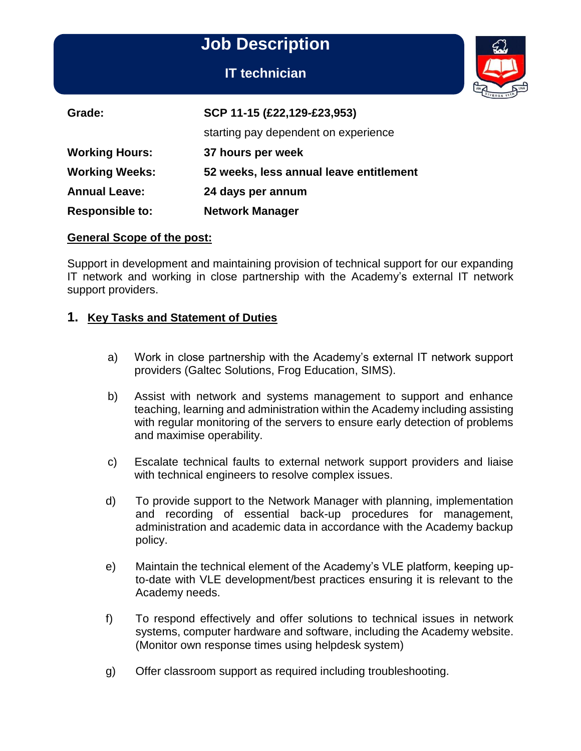**IT technician**



| Grade:                 | SCP 11-15 (£22,129-£23,953)             |
|------------------------|-----------------------------------------|
|                        | starting pay dependent on experience    |
| <b>Working Hours:</b>  | 37 hours per week                       |
| <b>Working Weeks:</b>  | 52 weeks, less annual leave entitlement |
| <b>Annual Leave:</b>   | 24 days per annum                       |
| <b>Responsible to:</b> | <b>Network Manager</b>                  |

#### **General Scope of the post:**

Support in development and maintaining provision of technical support for our expanding IT network and working in close partnership with the Academy's external IT network support providers.

#### **1. Key Tasks and Statement of Duties**

- a) Work in close partnership with the Academy's external IT network support providers (Galtec Solutions, Frog Education, SIMS).
- b) Assist with network and systems management to support and enhance teaching, learning and administration within the Academy including assisting with regular monitoring of the servers to ensure early detection of problems and maximise operability.
- c) Escalate technical faults to external network support providers and liaise with technical engineers to resolve complex issues.
- d) To provide support to the Network Manager with planning, implementation and recording of essential back-up procedures for management, administration and academic data in accordance with the Academy backup policy.
- e) Maintain the technical element of the Academy's VLE platform, keeping upto-date with VLE development/best practices ensuring it is relevant to the Academy needs.
- f) To respond effectively and offer solutions to technical issues in network systems, computer hardware and software, including the Academy website. (Monitor own response times using helpdesk system)
- g) Offer classroom support as required including troubleshooting.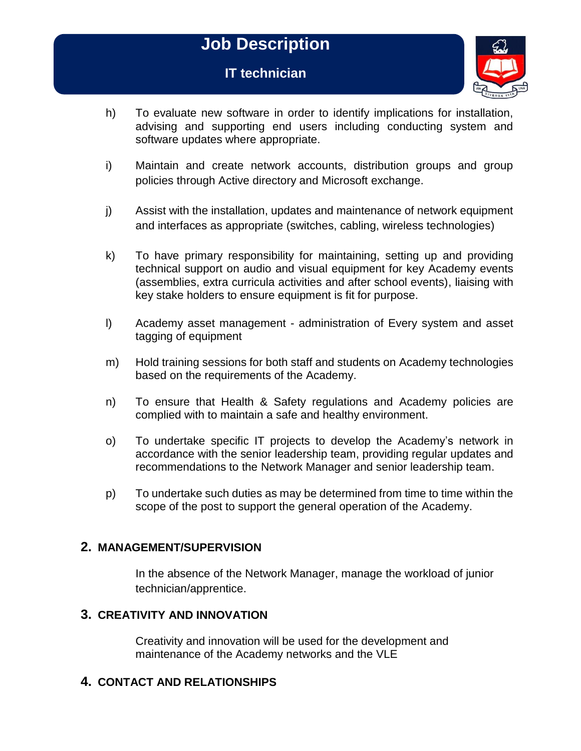## **IT technician**



- h) To evaluate new software in order to identify implications for installation, advising and supporting end users including conducting system and software updates where appropriate.
- i) Maintain and create network accounts, distribution groups and group policies through Active directory and Microsoft exchange.
- j) Assist with the installation, updates and maintenance of network equipment and interfaces as appropriate (switches, cabling, wireless technologies)
- k) To have primary responsibility for maintaining, setting up and providing technical support on audio and visual equipment for key Academy events (assemblies, extra curricula activities and after school events), liaising with key stake holders to ensure equipment is fit for purpose.
- l) Academy asset management administration of Every system and asset tagging of equipment
- m) Hold training sessions for both staff and students on Academy technologies based on the requirements of the Academy.
- n) To ensure that Health & Safety regulations and Academy policies are complied with to maintain a safe and healthy environment.
- o) To undertake specific IT projects to develop the Academy's network in accordance with the senior leadership team, providing regular updates and recommendations to the Network Manager and senior leadership team.
- p) To undertake such duties as may be determined from time to time within the scope of the post to support the general operation of the Academy.

#### **2. MANAGEMENT/SUPERVISION**

In the absence of the Network Manager, manage the workload of junior technician/apprentice.

#### **3. CREATIVITY AND INNOVATION**

Creativity and innovation will be used for the development and maintenance of the Academy networks and the VLE

#### **4. CONTACT AND RELATIONSHIPS**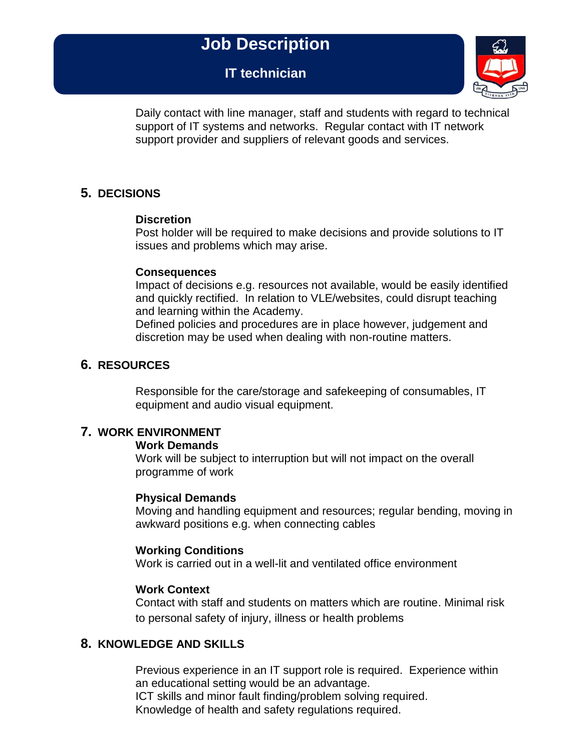**IT technician**



Daily contact with line manager, staff and students with regard to technical support of IT systems and networks. Regular contact with IT network support provider and suppliers of relevant goods and services.

## **5. DECISIONS**

#### **Discretion**

Post holder will be required to make decisions and provide solutions to IT issues and problems which may arise.

#### **Consequences**

Impact of decisions e.g. resources not available, would be easily identified and quickly rectified. In relation to VLE/websites, could disrupt teaching and learning within the Academy.

Defined policies and procedures are in place however, judgement and discretion may be used when dealing with non-routine matters.

## **6. RESOURCES**

Responsible for the care/storage and safekeeping of consumables, IT equipment and audio visual equipment.

## **7. WORK ENVIRONMENT**

#### **Work Demands**

Work will be subject to interruption but will not impact on the overall programme of work

#### **Physical Demands**

Moving and handling equipment and resources; regular bending, moving in awkward positions e.g. when connecting cables

#### **Working Conditions**

Work is carried out in a well-lit and ventilated office environment

#### **Work Context**

Contact with staff and students on matters which are routine. Minimal risk to personal safety of injury, illness or health problems

## **8. KNOWLEDGE AND SKILLS**

Previous experience in an IT support role is required. Experience within an educational setting would be an advantage. ICT skills and minor fault finding/problem solving required. Knowledge of health and safety regulations required.